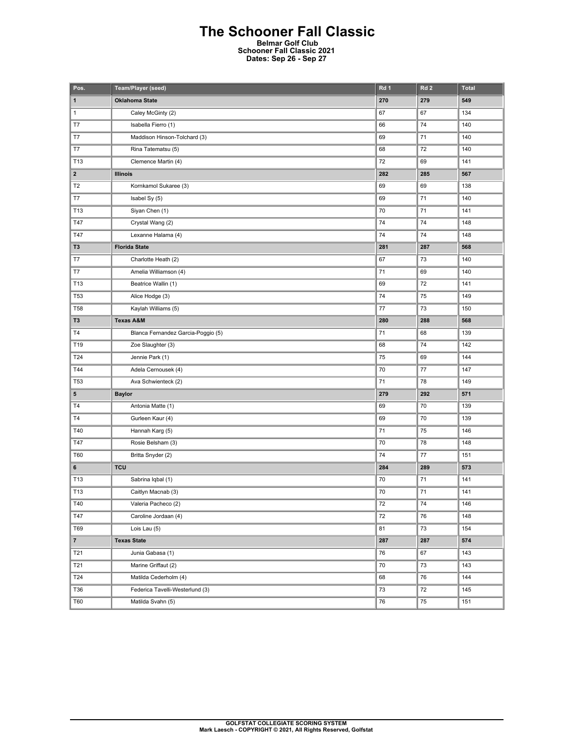## **The Schooner Fall Classic Belmar Golf Club**

**Schooner Fall Classic 2021 Dates: Sep 26 - Sep 27** 

| Pos.            | Team/Player (seed)                 | Rd 1 | Rd <sub>2</sub> | <b>Total</b> |
|-----------------|------------------------------------|------|-----------------|--------------|
| 1               | <b>Oklahoma State</b>              | 270  | 279             | 549          |
| 1               | Caley McGinty (2)                  | 67   | 67              | 134          |
| T7              | Isabella Fierro (1)                | 66   | 74              | 140          |
| T7              | Maddison Hinson-Tolchard (3)       | 69   | 71              | 140          |
| T7              | Rina Tatematsu (5)                 | 68   | 72              | 140          |
| T13             | Clemence Martin (4)                | 72   | 69              | 141          |
| $\mathbf{2}$    | <b>Illinois</b>                    | 282  | 285             | 567          |
| T <sub>2</sub>  | Kornkamol Sukaree (3)              | 69   | 69              | 138          |
| T7              | Isabel Sy (5)                      | 69   | 71              | 140          |
| T13             | Siyan Chen (1)                     | 70   | 71              | 141          |
| T47             | Crystal Wang (2)                   | 74   | 74              | 148          |
| T47             | Lexanne Halama (4)                 | 74   | 74              | 148          |
| T <sub>3</sub>  | <b>Florida State</b>               | 281  | 287             | 568          |
| T7              | Charlotte Heath (2)                | 67   | 73              | 140          |
| T7              | Amelia Williamson (4)              | 71   | 69              | 140          |
| T13             | Beatrice Wallin (1)                | 69   | 72              | 141          |
| <b>T53</b>      | Alice Hodge (3)                    | 74   | 75              | 149          |
| <b>T58</b>      | Kaylah Williams (5)                | 77   | 73              | 150          |
| T <sub>3</sub>  | <b>Texas A&amp;M</b>               | 280  | 288             | 568          |
| T4              | Blanca Fernandez Garcia-Poggio (5) | 71   | 68              | 139          |
| T19             | Zoe Slaughter (3)                  | 68   | 74              | 142          |
| T24             | Jennie Park (1)                    | 75   | 69              | 144          |
| T44             | Adela Cernousek (4)                | 70   | 77              | 147          |
| T <sub>53</sub> | Ava Schwienteck (2)                | 71   | 78              | 149          |
| 5               | <b>Baylor</b>                      | 279  | 292             | 571          |
| T <sub>4</sub>  | Antonia Matte (1)                  | 69   | 70              | 139          |
| <b>T4</b>       | Gurleen Kaur (4)                   | 69   | 70              | 139          |
| T40             | Hannah Karg (5)                    | 71   | 75              | 146          |
| T47             | Rosie Belsham (3)                  | 70   | 78              | 148          |
| <b>T60</b>      | Britta Snyder (2)                  | 74   | 77              | 151          |
| 6               | <b>TCU</b>                         | 284  | 289             | 573          |
| T13             | Sabrina Iqbal (1)                  | 70   | 71              | 141          |
| T13             | Caitlyn Macnab (3)                 | 70   | 71              | 141          |
| T40             | Valeria Pacheco (2)                | 72   | 74              | 146          |
| T47             | Caroline Jordaan (4)               | 72   | 76              | 148          |
| T69             | Lois Lau (5)                       | 81   | 73              | 154          |
| $\overline{7}$  | <b>Texas State</b>                 | 287  | 287             | 574          |
| T21             | Junia Gabasa (1)                   | 76   | 67              | 143          |
| T21             | Marine Griffaut (2)                | 70   | 73              | 143          |
| T24             | Matilda Cederholm (4)              | 68   | 76              | 144          |
| T36             | Federica Tavelli-Westerlund (3)    | 73   | 72              | 145          |
| <b>T60</b>      | Matilda Svahn (5)                  | 76   | 75              | 151          |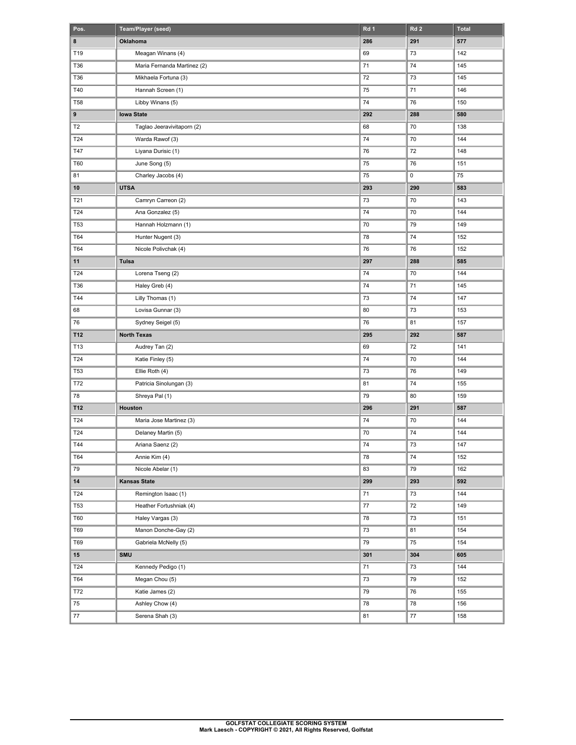| Pos.           | Team/Player (seed)          | Rd <sub>1</sub> | Rd <sub>2</sub> | <b>Total</b> |
|----------------|-----------------------------|-----------------|-----------------|--------------|
| 8              | Oklahoma                    | 286             | 291             | 577          |
| T19            | Meagan Winans (4)           | 69              | 73              | 142          |
| T36            | Maria Fernanda Martinez (2) | 71              | 74              | 145          |
| T36            | Mikhaela Fortuna (3)        | 72              | 73              | 145          |
| T40            | Hannah Screen (1)           | 75              | 71              | 146          |
| <b>T58</b>     | Libby Winans (5)            | 74              | 76              | 150          |
| 9              | <b>lowa State</b>           | 292             | 288             | 580          |
| T <sub>2</sub> | Taglao Jeeravivitaporn (2)  | 68              | 70              | 138          |
| T24            | Warda Rawof (3)             | 74              | 70              | 144          |
| T47            | Liyana Durisic (1)          | 76              | 72              | 148          |
| T60            | June Song (5)               | 75              | 76              | 151          |
| 81             | Charley Jacobs (4)          | 75              | 0               | 75           |
| 10             | <b>UTSA</b>                 | 293             | 290             | 583          |
| T21            | Camryn Carreon (2)          | 73              | 70              | 143          |
| T24            | Ana Gonzalez (5)            | 74              | 70              | 144          |
| <b>T53</b>     | Hannah Holzmann (1)         | 70              | 79              | 149          |
| T64            | Hunter Nugent (3)           | 78              | 74              | 152          |
| T64            | Nicole Polivchak (4)        | 76              | 76              | 152          |
| 11             | Tulsa                       | 297             | 288             | 585          |
| T24            | Lorena Tseng (2)            | 74              | 70              | 144          |
| T36            | Haley Greb (4)              | 74              | 71              | 145          |
| T44            | Lilly Thomas (1)            | 73              | 74              | 147          |
| 68             | Lovisa Gunnar (3)           | 80              | 73              | 153          |
| 76             | Sydney Seigel (5)           | 76              | 81              | 157          |
| T12            | <b>North Texas</b>          | 295             | 292             | 587          |
| T13            | Audrey Tan (2)              | 69              | 72              | 141          |
| T24            | Katie Finley (5)            | 74              | 70              | 144          |
| <b>T53</b>     | Ellie Roth (4)              | 73              | 76              | 149          |
| T72            | Patricia Sinolungan (3)     | 81              | 74              | 155          |
| 78             | Shreya Pal (1)              | 79              | 80              | 159          |
| T12            | Houston                     | 296             | 291             | 587          |
| T24            | Maria Jose Martinez (3)     | 74              | 70              | 144          |
| T24            | Delaney Martin (5)          | 70              | 74              | 144          |
| T44            | Ariana Saenz (2)            | 74              | 73              | 147          |
| T64            | Annie Kim (4)               | 78              | 74              | 152          |
| 79             | Nicole Abelar (1)           | 83              | 79              | 162          |
| 14             | <b>Kansas State</b>         | 299             | 293             | 592          |
| T24            | Remington Isaac (1)         | 71              | 73              | 144          |
| T53            | Heather Fortushniak (4)     | 77              | 72              | 149          |
| <b>T60</b>     | Haley Vargas (3)            | 78              | 73              | 151          |
| T69            | Manon Donche-Gay (2)        | 73              | 81              | 154          |
| T69            | Gabriela McNelly (5)        | 79              | 75              | 154          |
| 15             | <b>SMU</b>                  | 301             | 304             | 605          |
| T24            | Kennedy Pedigo (1)          | $71\,$          | 73              | 144          |
| T64            | Megan Chou (5)              | $73\,$          | 79              | 152          |
| T72            | Katie James (2)             | 79              | 76              | 155          |
| 75             | Ashley Chow (4)             | 78              | 78              | 156          |
| $77\,$         | Serena Shah (3)             | 81              | $77\,$          | 158          |